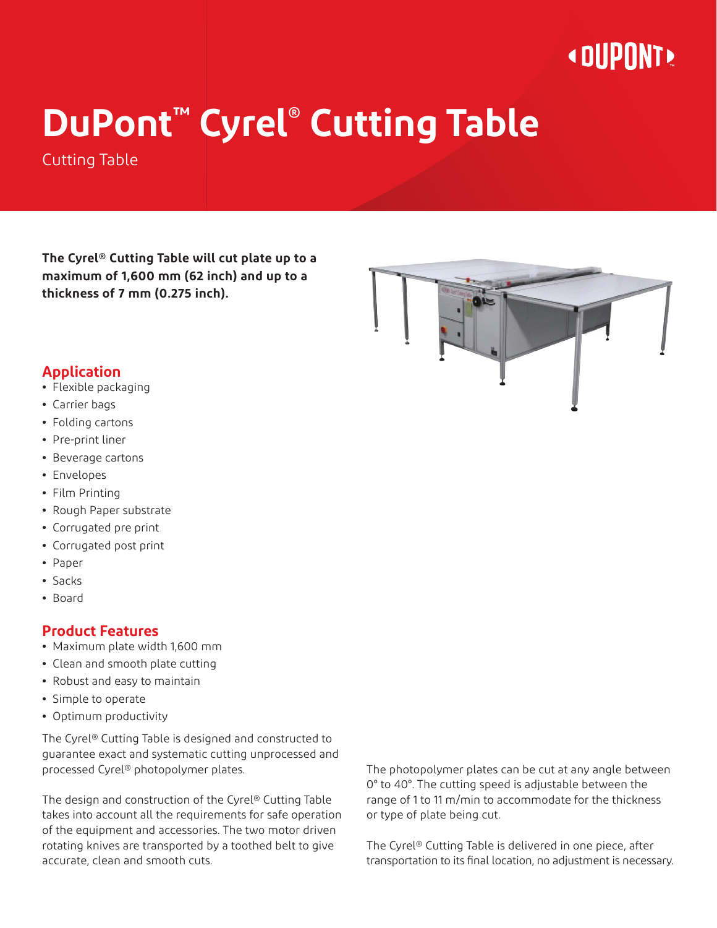## **« OUPONT »**

# **DuPont™ Cyrel® Cutting Table**

Cutting Table

**The Cyrel® Cutting Table will cut plate up to a maximum of 1,600 mm (62 inch) and up to a thickness of 7 mm (0.275 inch).**



#### **Application**

- **•** Flexible packaging
- **•** Carrier bags
- **•** Folding cartons
- **•** Pre-print liner
- **•** Beverage cartons
- **•** Envelopes
- **•** Film Printing
- **•** Rough Paper substrate
- **•** Corrugated pre print
- **•** Corrugated post print
- **•** Paper
- **•** Sacks
- **•** Board

#### **Product Features**

- **•** Maximum plate width 1,600 mm
- **•** Clean and smooth plate cutting
- **•** Robust and easy to maintain
- **•** Simple to operate
- **•** Optimum productivity

The Cyrel® Cutting Table is designed and constructed to guarantee exact and systematic cutting unprocessed and processed Cyrel® photopolymer plates.

The design and construction of the Cyrel® Cutting Table takes into account all the requirements for safe operation of the equipment and accessories. The two motor driven rotating knives are transported by a toothed belt to give accurate, clean and smooth cuts.

The photopolymer plates can be cut at any angle between 0° to 40°. The cutting speed is adjustable between the range of 1 to 11 m/min to accommodate for the thickness or type of plate being cut.

The Cyrel® Cutting Table is delivered in one piece, after transportation to its final location, no adjustment is necessary.